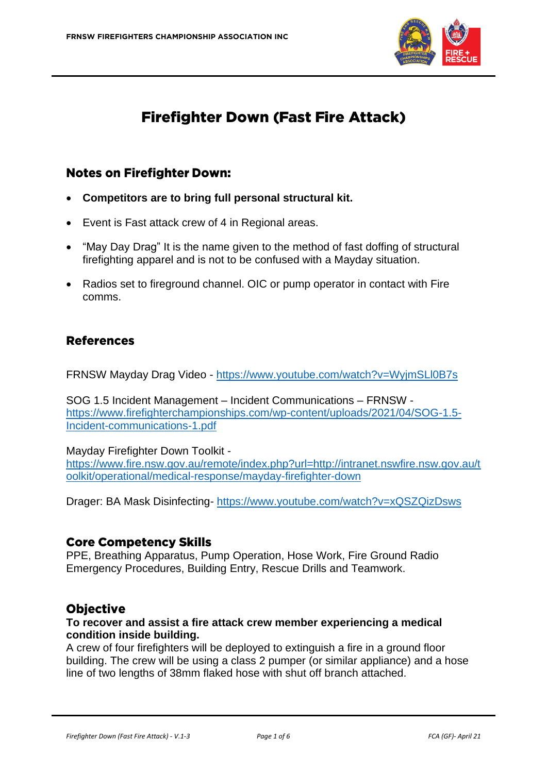

# **Firefighter Down (Fast Fire Attack)**

#### **Notes on Firefighter Down:**

- **Competitors are to bring full personal structural kit.**
- Event is Fast attack crew of 4 in Regional areas.
- "May Day Drag" It is the name given to the method of fast doffing of structural firefighting apparel and is not to be confused with a Mayday situation.
- Radios set to fireground channel. OIC or pump operator in contact with Fire comms.

#### **References**

FRNSW Mayday Drag Video - <https://www.youtube.com/watch?v=WyjmSLl0B7s>

SOG 1.5 Incident Management – Incident Communications – FRNSW [https://www.firefighterchampionships.com/wp-content/uploads/2021/04/SOG-1.5-](https://www.firefighterchampionships.com/wp-content/uploads/2021/04/SOG-1.5-Incident-communications-1.pdf) [Incident-communications-1.pdf](https://www.firefighterchampionships.com/wp-content/uploads/2021/04/SOG-1.5-Incident-communications-1.pdf)

#### Mayday Firefighter Down Toolkit -

[https://www.fire.nsw.gov.au/remote/index.php?url=http://intranet.nswfire.nsw.gov.au/t](https://www.fire.nsw.gov.au/remote/index.php?url=http://intranet.nswfire.nsw.gov.au/toolkit/operational/medical-response/mayday-firefighter-down) [oolkit/operational/medical-response/mayday-firefighter-down](https://www.fire.nsw.gov.au/remote/index.php?url=http://intranet.nswfire.nsw.gov.au/toolkit/operational/medical-response/mayday-firefighter-down)

Drager: BA Mask Disinfecting- <https://www.youtube.com/watch?v=xQSZQizDsws>

#### **Core Competency Skills**

PPE, Breathing Apparatus, Pump Operation, Hose Work, Fire Ground Radio Emergency Procedures, Building Entry, Rescue Drills and Teamwork.

#### **Objective**

#### **To recover and assist a fire attack crew member experiencing a medical condition inside building.**

A crew of four firefighters will be deployed to extinguish a fire in a ground floor building. The crew will be using a class 2 pumper (or similar appliance) and a hose line of two lengths of 38mm flaked hose with shut off branch attached.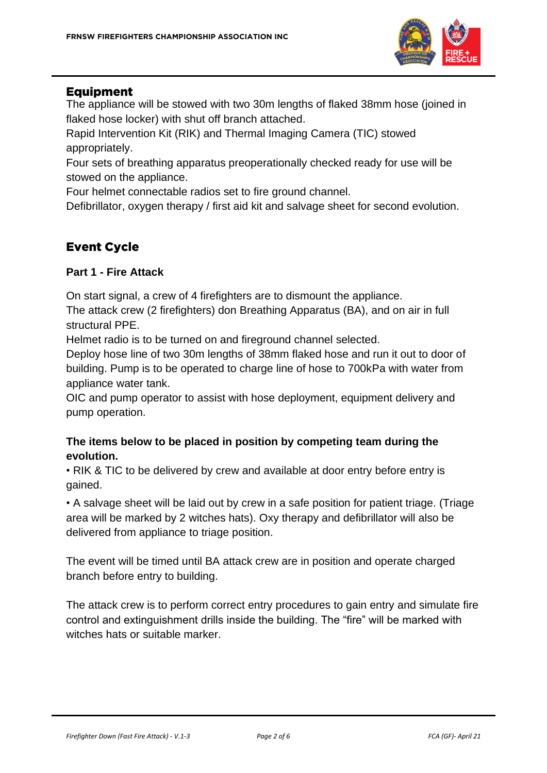

#### **Equipment**

The appliance will be stowed with two 30m lengths of flaked 38mm hose (joined in flaked hose locker) with shut off branch attached.

Rapid Intervention Kit (RIK) and Thermal Imaging Camera (TIC) stowed appropriately.

Four sets of breathing apparatus preoperationally checked ready for use will be stowed on the appliance.

Four helmet connectable radios set to fire ground channel.

Defibrillator, oxygen therapy / first aid kit and salvage sheet for second evolution.

## **Event Cycle**

#### **Part 1 - Fire Attack**

On start signal, a crew of 4 firefighters are to dismount the appliance.

The attack crew (2 firefighters) don Breathing Apparatus (BA), and on air in full structural PPE.

Helmet radio is to be turned on and fireground channel selected.

Deploy hose line of two 30m lengths of 38mm flaked hose and run it out to door of building. Pump is to be operated to charge line of hose to 700kPa with water from appliance water tank.

OIC and pump operator to assist with hose deployment, equipment delivery and pump operation.

#### **The items below to be placed in position by competing team during the evolution.**

• RIK & TIC to be delivered by crew and available at door entry before entry is gained.

• A salvage sheet will be laid out by crew in a safe position for patient triage. (Triage area will be marked by 2 witches hats). Oxy therapy and defibrillator will also be delivered from appliance to triage position.

The event will be timed until BA attack crew are in position and operate charged branch before entry to building.

The attack crew is to perform correct entry procedures to gain entry and simulate fire control and extinguishment drills inside the building. The "fire" will be marked with witches hats or suitable marker.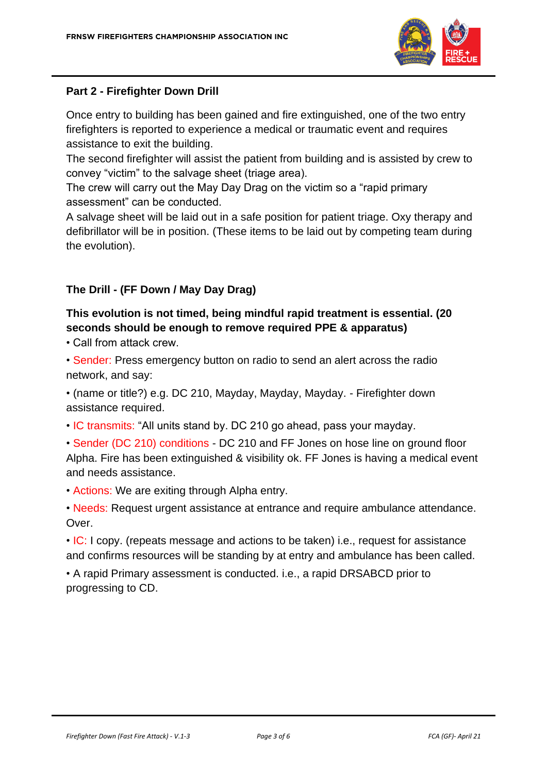

#### **Part 2 - Firefighter Down Drill**

Once entry to building has been gained and fire extinguished, one of the two entry firefighters is reported to experience a medical or traumatic event and requires assistance to exit the building.

The second firefighter will assist the patient from building and is assisted by crew to convey "victim" to the salvage sheet (triage area).

The crew will carry out the May Day Drag on the victim so a "rapid primary assessment" can be conducted.

A salvage sheet will be laid out in a safe position for patient triage. Oxy therapy and defibrillator will be in position. (These items to be laid out by competing team during the evolution).

#### **The Drill - (FF Down / May Day Drag)**

### **This evolution is not timed, being mindful rapid treatment is essential. (20 seconds should be enough to remove required PPE & apparatus)**

• Call from attack crew.

• Sender: Press emergency button on radio to send an alert across the radio network, and say:

• (name or title?) e.g. DC 210, Mayday, Mayday, Mayday. - Firefighter down assistance required.

- IC transmits: "All units stand by. DC 210 go ahead, pass your mayday.
- Sender (DC 210) conditions DC 210 and FF Jones on hose line on ground floor Alpha. Fire has been extinguished & visibility ok. FF Jones is having a medical event and needs assistance.
- Actions: We are exiting through Alpha entry.
- Needs: Request urgent assistance at entrance and require ambulance attendance. Over.

• IC: I copy. (repeats message and actions to be taken) i.e., request for assistance and confirms resources will be standing by at entry and ambulance has been called.

• A rapid Primary assessment is conducted. i.e., a rapid DRSABCD prior to progressing to CD.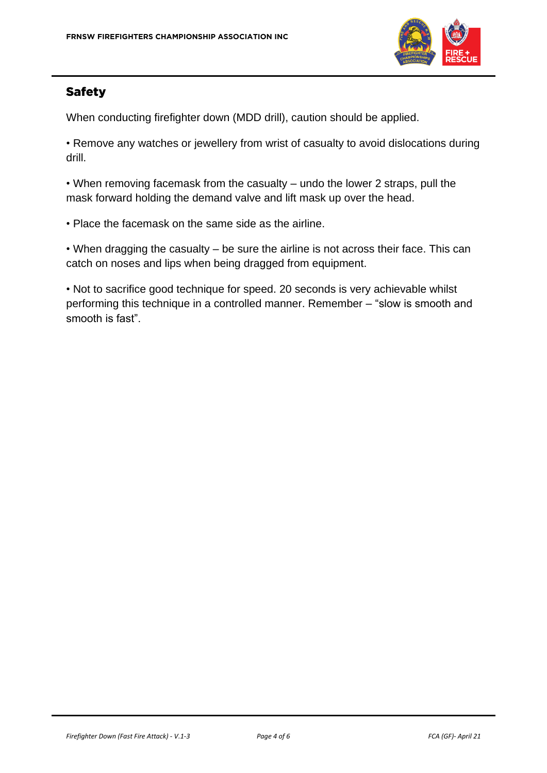

## **Safety**

When conducting firefighter down (MDD drill), caution should be applied.

• Remove any watches or jewellery from wrist of casualty to avoid dislocations during drill.

• When removing facemask from the casualty – undo the lower 2 straps, pull the mask forward holding the demand valve and lift mask up over the head.

• Place the facemask on the same side as the airline.

• When dragging the casualty – be sure the airline is not across their face. This can catch on noses and lips when being dragged from equipment.

• Not to sacrifice good technique for speed. 20 seconds is very achievable whilst performing this technique in a controlled manner. Remember – "slow is smooth and smooth is fast".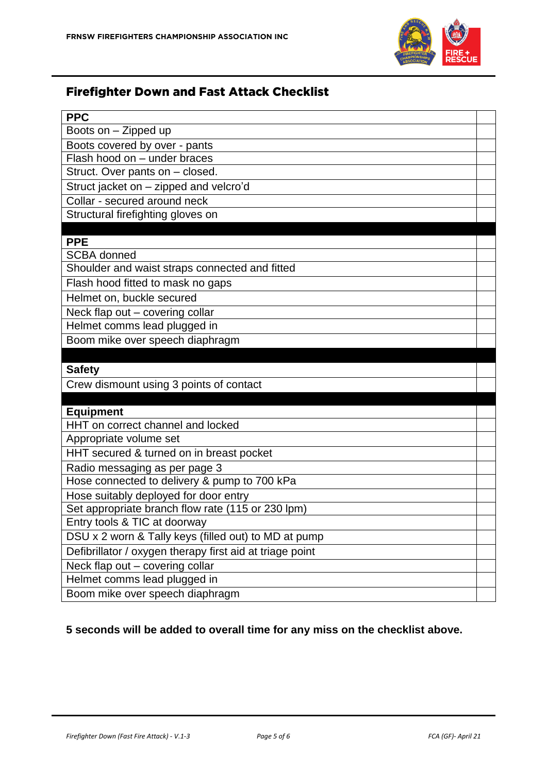

# **Firefighter Down and Fast Attack Checklist**

| <b>PPC</b>                                                      |  |
|-----------------------------------------------------------------|--|
| Boots on - Zipped up                                            |  |
| Boots covered by over - pants                                   |  |
| Flash hood on - under braces                                    |  |
| Struct. Over pants on - closed.                                 |  |
| Struct jacket on - zipped and velcro'd                          |  |
| Collar - secured around neck                                    |  |
| Structural firefighting gloves on                               |  |
|                                                                 |  |
| <b>PPE</b>                                                      |  |
| <b>SCBA</b> donned                                              |  |
| Shoulder and waist straps connected and fitted                  |  |
| Flash hood fitted to mask no gaps                               |  |
| Helmet on, buckle secured                                       |  |
| Neck flap out - covering collar                                 |  |
| Helmet comms lead plugged in                                    |  |
| Boom mike over speech diaphragm                                 |  |
|                                                                 |  |
|                                                                 |  |
| <b>Safety</b>                                                   |  |
| Crew dismount using 3 points of contact                         |  |
|                                                                 |  |
| <b>Equipment</b>                                                |  |
| HHT on correct channel and locked                               |  |
| Appropriate volume set                                          |  |
| HHT secured & turned on in breast pocket                        |  |
| Radio messaging as per page 3                                   |  |
| Hose connected to delivery & pump to 700 kPa                    |  |
| Hose suitably deployed for door entry                           |  |
| Set appropriate branch flow rate (115 or 230 lpm)               |  |
| Entry tools & TIC at doorway                                    |  |
| DSU x 2 worn & Tally keys (filled out) to MD at pump            |  |
| Defibrillator / oxygen therapy first aid at triage point        |  |
| Neck flap out - covering collar                                 |  |
| Helmet comms lead plugged in<br>Boom mike over speech diaphragm |  |

#### **5 seconds will be added to overall time for any miss on the checklist above.**